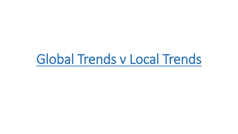# Global Trends v Local Trends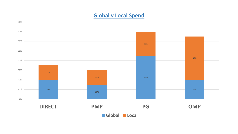#### **Global v Local Spend**

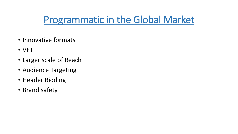## Programmatic in the Global Market

- Innovative formats
- VET
- Larger scale of Reach
- Audience Targeting
- Header Bidding
- Brand safety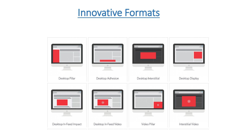#### Innovative Formats

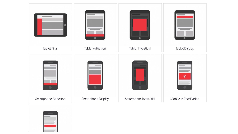

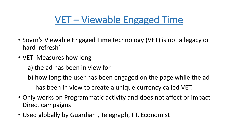# VET – Viewable Engaged Time

- Sovrn's Viewable Engaged Time technology (VET) is not a legacy or hard 'refresh'
- VET Measures how long
	- a) the ad has been in view for
	- b) how long the user has been engaged on the page while the ad has been in view to create a unique currency called VET.
	-
- Only works on Programmatic activity and does not affect or impact Direct campaigns
- Used globally by Guardian , Telegraph, FT, Economist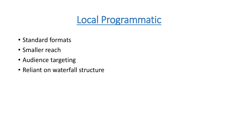#### Local Programmatic

- Standard formats
- Smaller reach
- Audience targeting
- Reliant on waterfall structure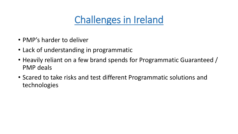## Challenges in Ireland

- PMP's harder to deliver
- Lack of understanding in programmatic
- Heavily reliant on a few brand spends for Programmatic Guaranteed / PMP deals
- Scared to take risks and test different Programmatic solutions and technologies